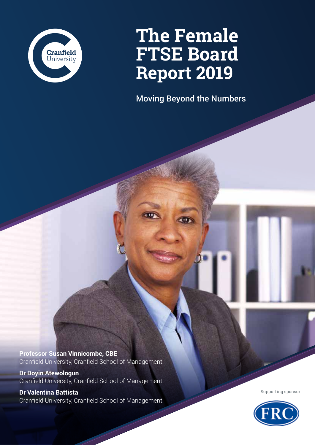

# **The Female FTSE Board Report 2019**

Moving Beyond the Numbers

**Professor Susan Vinnicombe, CBE** Cranfield University, Cranfield School of Management

**Dr Doyin Atewologun** Cranfield University, Cranfield School of Management

**Dr Valentina Battista** Cranfield University, Cranfield School of Management Supporting sponsor

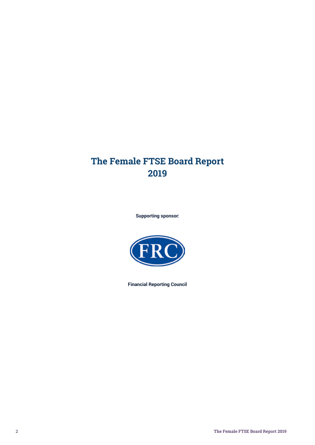# **The Female FTSE Board Report 2019**

**Supporting sponsor:**



**Financial Reporting Council**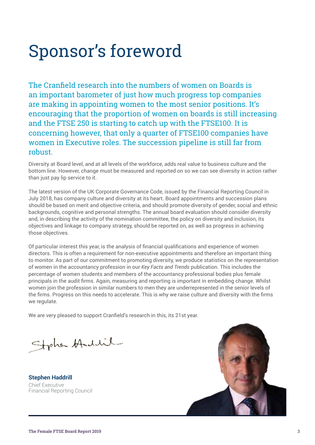# Sponsor's foreword

The Cranfield research into the numbers of women on Boards is an important barometer of just how much progress top companies are making in appointing women to the most senior positions. It's encouraging that the proportion of women on boards is still increasing and the FTSE 250 is starting to catch up with the FTSE100. It is concerning however, that only a quarter of FTSE100 companies have women in Executive roles. The succession pipeline is still far from robust.

Diversity at Board level, and at all levels of the workforce, adds real value to business culture and the bottom line. However, change must be measured and reported on so we can see diversity in action rather than just pay lip service to it.

The latest version of the UK Corporate Governance Code, issued by the Financial Reporting Council in July 2018, has company culture and diversity at its heart. Board appointments and succession plans should be based on merit and objective criteria, and should promote diversity of gender, social and ethnic backgrounds, cognitive and personal strengths. The annual board evaluation should consider diversity and, in describing the activity of the nomination committee, the policy on diversity and inclusion, its objectives and linkage to company strategy, should be reported on, as well as progress in achieving those objectives.

Of particular interest this year, is the analysis of financial qualifications and experience of women directors. This is often a requirement for non-executive appointments and therefore an important thing to monitor. As part of our commitment to promoting diversity, we produce statistics on the representation of women in the accountancy profession in our *Key Facts and Trends* publication. This includes the percentage of women students and members of the accountancy professional bodies plus female principals in the audit firms. Again, measuring and reporting is important in embedding change. Whilst women join the profession in similar numbers to men they are underrepresented in the senior levels of the firms. Progress on this needs to accelerate. This is why we raise culture and diversity with the firms we regulate.

We are very pleased to support Cranfield's research in this, its 21st year.

Style Andril

**Stephen Haddrill** Chief Executive Financial Reporting Council

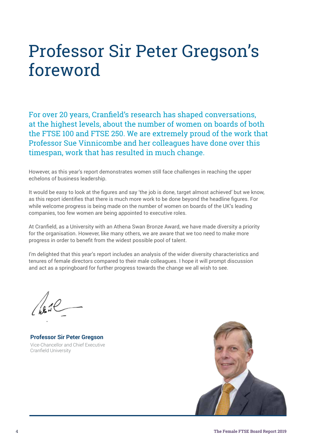# Professor Sir Peter Gregson's foreword

For over 20 years, Cranfield's research has shaped conversations, at the highest levels, about the number of women on boards of both the FTSE 100 and FTSE 250. We are extremely proud of the work that Professor Sue Vinnicombe and her colleagues have done over this timespan, work that has resulted in much change.

However, as this year's report demonstrates women still face challenges in reaching the upper echelons of business leadership.

It would be easy to look at the figures and say 'the job is done, target almost achieved' but we know, as this report identifies that there is much more work to be done beyond the headline figures. For while welcome progress is being made on the number of women on boards of the UK's leading companies, too few women are being appointed to executive roles.

At Cranfield, as a University with an Athena Swan Bronze Award, we have made diversity a priority for the organisation. However, like many others, we are aware that we too need to make more progress in order to benefit from the widest possible pool of talent.

I'm delighted that this year's report includes an analysis of the wider diversity characteristics and tenures of female directors compared to their male colleagues. I hope it will prompt discussion and act as a springboard for further progress towards the change we all wish to see.

**Professor Sir Peter Gregson** Vice-Chancellor and Chief Executive Cranfield University

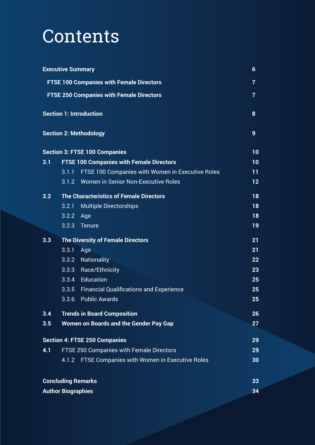# Contents

|                  | <b>Executive Summary</b>  |                                                  | $6\phantom{1}$ |  |  |  |  |  |
|------------------|---------------------------|--------------------------------------------------|----------------|--|--|--|--|--|
|                  |                           | <b>FTSE 100 Companies with Female Directors</b>  | $\overline{7}$ |  |  |  |  |  |
|                  |                           | <b>FTSE 250 Companies with Female Directors</b>  | $\overline{7}$ |  |  |  |  |  |
|                  |                           |                                                  |                |  |  |  |  |  |
|                  |                           | <b>Section 1: Introduction</b>                   | 8              |  |  |  |  |  |
|                  |                           | <b>Section 2: Methodology</b>                    | 9              |  |  |  |  |  |
|                  |                           | <b>Section 3: FTSE 100 Companies</b>             | 10             |  |  |  |  |  |
| 3.1              |                           | <b>FTSE 100 Companies with Female Directors</b>  | 10             |  |  |  |  |  |
|                  | 3.1.1                     | FTSE 100 Companies with Women in Executive Roles | 11             |  |  |  |  |  |
|                  |                           | 3.1.2 Women in Senior Non-Executive Roles        | 12             |  |  |  |  |  |
| 3.2              |                           | <b>The Characteristics of Female Directors</b>   | 18             |  |  |  |  |  |
|                  | 3.2.1                     | <b>Multiple Directorships</b>                    | 18             |  |  |  |  |  |
|                  | 3.2.2                     | Age                                              | 18             |  |  |  |  |  |
|                  |                           | 3.2.3 Tenure                                     | 19             |  |  |  |  |  |
| 3.3              |                           | <b>The Diversity of Female Directors</b>         | 21             |  |  |  |  |  |
|                  | 3.3.1                     | Age                                              | 21             |  |  |  |  |  |
|                  | 3.3.2                     | <b>Nationality</b>                               | 22             |  |  |  |  |  |
|                  | 3.3.3                     | Race/Ethnicity                                   | 23             |  |  |  |  |  |
|                  | 3.3.4                     | Education                                        | 25             |  |  |  |  |  |
|                  | 3.3.5                     | <b>Financial Qualifications and Experience</b>   | 25             |  |  |  |  |  |
|                  | 3.3.6                     | <b>Public Awards</b>                             | 25             |  |  |  |  |  |
| $3.\overline{4}$ |                           | <b>Trends in Board Composition</b>               | 26             |  |  |  |  |  |
| 3.5              |                           | <b>Women on Boards and the Gender Pay Gap</b>    | 27             |  |  |  |  |  |
|                  |                           | <b>Section 4: FTSE 250 Companies</b>             | 29             |  |  |  |  |  |
| 4.1              |                           | FTSE 250 Companies with Female Directors         | 29             |  |  |  |  |  |
|                  | 4.1.2                     | FTSE Companies with Women in Executive Roles     | 30             |  |  |  |  |  |
|                  |                           | <b>Concluding Remarks</b>                        | 33             |  |  |  |  |  |
|                  | <b>Author Biographies</b> |                                                  | 34             |  |  |  |  |  |
|                  |                           |                                                  |                |  |  |  |  |  |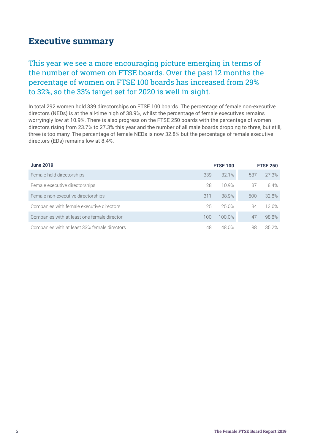# **Executive summary**

# This year we see a more encouraging picture emerging in terms of the number of women on FTSE boards. Over the past 12 months the percentage of women on FTSE 100 boards has increased from 29% to 32%, so the 33% target set for 2020 is well in sight.

In total 292 women hold 339 directorships on FTSE 100 boards. The percentage of female non-executive directors (NEDs) is at the all-time high of 38.9%, whilst the percentage of female executives remains worryingly low at 10.9%. There is also progress on the FTSE 250 boards with the percentage of women directors rising from 23.7% to 27.3% this year and the number of all male boards dropping to three, but still, three is too many. The percentage of female NEDs is now 32.8% but the percentage of female executive directors (EDs) remains low at 8.4%.

| <b>June 2019</b>                             |     | <b>FTSE 100</b> |     | <b>FTSE 250</b> |
|----------------------------------------------|-----|-----------------|-----|-----------------|
| Female held directorships                    | 339 | 32.1%           | 537 | 27.3%           |
| Female executive directorships               | 28  | 10.9%           | 37  | 8.4%            |
| Female non-executive directorships           | 311 | 38.9%           | 500 | 32.8%           |
| Companies with female executive directors    | 25  | 25.0%           | 34  | 13.6%           |
| Companies with at least one female director  | 100 | 100.0%          | 47  | 98.8%           |
| Companies with at least 33% female directors | 48  | 48.0%           | 88  | 35.2%           |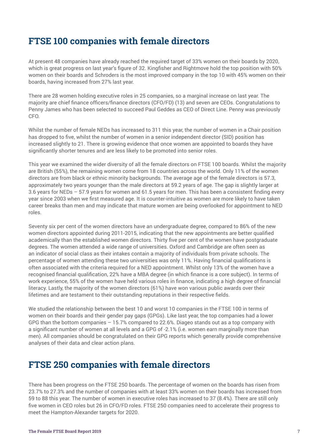# **FTSE 100 companies with female directors**

At present 48 companies have already reached the required target of 33% women on their boards by 2020, which is great progress on last year's figure of 32. Kingfisher and Rightmove hold the top position with 50% women on their boards and Schroders is the most improved company in the top 10 with 45% women on their boards, having increased from 27% last year.

There are 28 women holding executive roles in 25 companies, so a marginal increase on last year. The majority are chief finance officers/finance directors (CFO/FD) (13) and seven are CEOs. Congratulations to Penny James who has been selected to succeed Paul Geddes as CEO of Direct Line. Penny was previously CFO.

Whilst the number of female NEDs has increased to 311 this year, the number of women in a Chair position has dropped to five, whilst the number of women in a senior independent director (SID) position has increased slightly to 21. There is growing evidence that once women are appointed to boards they have significantly shorter tenures and are less likely to be promoted into senior roles.

This year we examined the wider diversity of all the female directors on FTSE 100 boards. Whilst the majority are British (55%), the remaining women come from 18 countries across the world. Only 11% of the women directors are from black or ethnic minority backgrounds. The average age of the female directors is 57.3, approximately two years younger than the male directors at 59.2 years of age. The gap is slightly larger at 3.6 years for NEDs – 57.9 years for women and 61.5 years for men. This has been a consistent finding every year since 2003 when we first measured age. It is counter-intuitive as women are more likely to have taken career breaks than men and may indicate that mature women are being overlooked for appointment to NED roles.

Seventy six per cent of the women directors have an undergraduate degree, compared to 86% of the new women directors appointed during 2011-2015, indicating that the new appointments are better qualified academically than the established women directors. Thirty five per cent of the women have postgraduate degrees. The women attended a wide range of universities. Oxford and Cambridge are often seen as an indicator of social class as their intakes contain a majority of individuals from private schools. The percentage of women attending these two universities was only 11%. Having financial qualifications is often associated with the criteria required for a NED appointment. Whilst only 13% of the women have a recognised financial qualification, 22% have a MBA degree (in which finance is a core subject). In terms of work experience, 55% of the women have held various roles in finance, indicating a high degree of financial literacy. Lastly, the majority of the women directors (61%) have won various public awards over their lifetimes and are testament to their outstanding reputations in their respective fields.

We studied the relationship between the best 10 and worst 10 companies in the FTSE 100 in terms of women on their boards and their gender pay gaps (GPGs). Like last year, the top companies had a lower GPG than the bottom companies – 15.7% compared to 22.6%. Diageo stands out as a top company with a significant number of women at all levels and a GPG of -2.1% (i.e. women earn marginally more than men). All companies should be congratulated on their GPG reports which generally provide comprehensive analyses of their data and clear action plans.

# **FTSE 250 companies with female directors**

There has been progress on the FTSE 250 boards. The percentage of women on the boards has risen from 23.7% to 27.3% and the number of companies with at least 33% women on their boards has increased from 59 to 88 this year. The number of women in executive roles has increased to 37 (8.4%). There are still only five women in CEO roles but 26 in CFO/FD roles. FTSE 250 companies need to accelerate their progress to meet the Hampton-Alexander targets for 2020.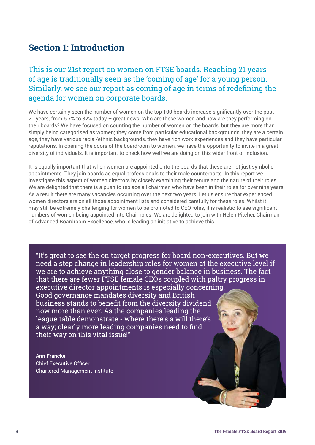# **Section 1: Introduction**

This is our 21st report on women on FTSE boards. Reaching 21 years of age is traditionally seen as the 'coming of age' for a young person. Similarly, we see our report as coming of age in terms of redefining the agenda for women on corporate boards.

We have certainly seen the number of women on the top 100 boards increase significantly over the past 21 years, from 6.7% to 32% today – great news. Who are these women and how are they performing on their boards? We have focused on counting the number of women on the boards, but they are more than simply being categorised as women; they come from particular educational backgrounds, they are a certain age, they have various racial/ethnic backgrounds, they have rich work experiences and they have particular reputations. In opening the doors of the boardroom to women, we have the opportunity to invite in a great diversity of individuals. It is important to check how well we are doing on this wider front of inclusion.

It is equally important that when women are appointed onto the boards that these are not just symbolic appointments. They join boards as equal professionals to their male counterparts. In this report we investigate this aspect of women directors by closely examining their tenure and the nature of their roles. We are delighted that there is a push to replace all chairmen who have been in their roles for over nine years. As a result there are many vacancies occurring over the next two years. Let us ensure that experienced women directors are on all those appointment lists and considered carefully for these roles. Whilst it may still be extremely challenging for women to be promoted to CEO roles, it is realistic to see significant numbers of women being appointed into Chair roles. We are delighted to join with Helen Pitcher, Chairman of Advanced Boardroom Excellence, who is leading an initiative to achieve this.

"It's great to see the on target progress for board non-executives. But we need a step change in leadership roles for women at the executive level if we are to achieve anything close to gender balance in business. The fact that there are fewer FTSE female CEOs coupled with paltry progress in executive director appointments is especially concerning. Good governance mandates diversity and British business stands to benefit from the diversity dividend now more than ever. As the companies leading the league table demonstrate - where there's a will there's a way; clearly more leading companies need to find their way on this vital issue!"

#### **Ann Francke** Chief Executive Officer Chartered Management Institute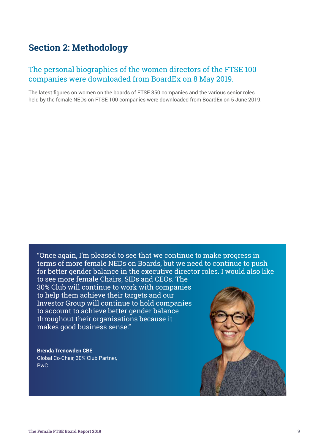# **Section 2: Methodology**

# The personal biographies of the women directors of the FTSE 100 companies were downloaded from BoardEx on 8 May 2019.

The latest figures on women on the boards of FTSE 350 companies and the various senior roles held by the female NEDs on FTSE 100 companies were downloaded from BoardEx on 5 June 2019.

"Once again, I'm pleased to see that we continue to make progress in terms of more female NEDs on Boards, but we need to continue to push for better gender balance in the executive director roles. I would also like

to see more female Chairs, SIDs and CEOs. The 30% Club will continue to work with companies to help them achieve their targets and our Investor Group will continue to hold companies to account to achieve better gender balance throughout their organisations because it makes good business sense."

**Brenda Trenowden CBE** Global Co-Chair, 30% Club Partner, PwC

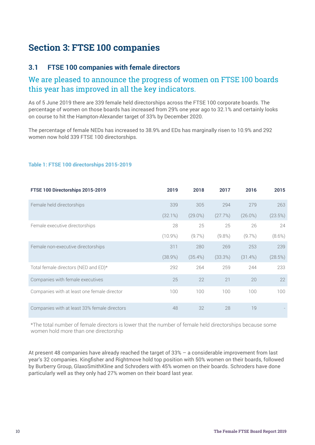# **Section 3: FTSE 100 companies**

## **3.1 FTSE 100 companies with female directors**

# We are pleased to announce the progress of women on FTSE 100 boards this year has improved in all the key indicators.

As of 5 June 2019 there are 339 female held directorships across the FTSE 100 corporate boards. The percentage of women on those boards has increased from 29% one year ago to 32.1% and certainly looks on course to hit the Hampton-Alexander target of 33% by December 2020.

The percentage of female NEDs has increased to 38.9% and EDs has marginally risen to 10.9% and 292 women now hold 339 FTSE 100 directorships.

| FTSE 100 Directorships 2015-2019             | 2019       | 2018       | 2017      | 2016       | 2015      |
|----------------------------------------------|------------|------------|-----------|------------|-----------|
| Female held directorships                    | 339        | 305        | 294       | 279        | 263       |
|                                              | $(32.1\%)$ | $(29.0\%)$ | (27.7%)   | $(26.0\%)$ | (23.5%)   |
| Female executive directorships               | 28         | 25         | 25        | 26         | 24        |
|                                              | $(10.9\%)$ | $(9.7\%)$  | $(9.8\%)$ | $(9.7\%)$  | $(8.6\%)$ |
| Female non-executive directorships           | 311        | 280        | 269       | 253        | 239       |
|                                              | (38.9%)    | $(35.4\%)$ | (33.3%)   | $(31.4\%)$ | (28.5%)   |
| Total female directors (NED and ED)*         | 292        | 264        | 259       | 244        | 233       |
| Companies with female executives             | 25         | 22         | 21        | 20         | 22        |
| Companies with at least one female director  | 100        | 100        | 100       | 100        | 100       |
| Companies with at least 33% female directors | 48         | 32         | 28        | 19         |           |

#### **Table 1: FTSE 100 directorships 2015-2019**

\*The total number of female directors is lower that the number of female held directorships because some women hold more than one directorship

At present 48 companies have already reached the target of 33% – a considerable improvement from last year's 32 companies. Kingfisher and Rightmove hold top position with 50% women on their boards, followed by Burberry Group, GlaxoSmithKline and Schroders with 45% women on their boards. Schroders have done particularly well as they only had 27% women on their board last year.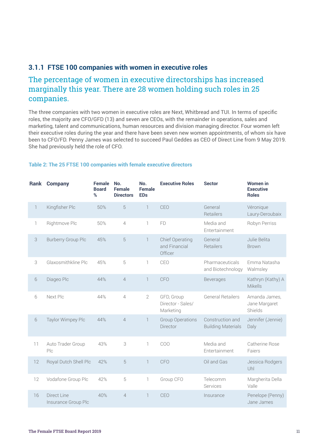## **3.1.1 FTSE 100 companies with women in executive roles**

# The percentage of women in executive directorships has increased marginally this year. There are 28 women holding such roles in 25 companies.

The three companies with two women in executive roles are Next, Whitbread and TUI. In terms of specific roles, the majority are CFO/GFD (13) and seven are CEOs, with the remainder in operations, sales and marketing, talent and communications, human resources and division managing director. Four women left their executive roles during the year and there have been seven new women appointments, of whom six have been to CFO/FD. Penny James was selected to succeed Paul Geddes as CEO of Direct Line from 9 May 2019. She had previously held the role of CFO.

| <b>Rank</b>              | <b>Company</b>                     | <b>Female</b><br><b>Board</b><br>% | No.<br><b>Female</b><br><b>Directors</b> | No.<br><b>Female</b><br><b>EDs</b> | <b>Executive Roles</b>                       | <b>Sector</b>                                 | <b>Women</b> in<br><b>Executive</b><br><b>Roles</b> |
|--------------------------|------------------------------------|------------------------------------|------------------------------------------|------------------------------------|----------------------------------------------|-----------------------------------------------|-----------------------------------------------------|
| $\overline{\phantom{a}}$ | Kingfisher Plc                     | 50%                                | 5                                        | $\overline{\phantom{a}}$           | CEO                                          | General<br>Retailers                          | Véronique<br>Laury-Deroubaix                        |
| 1                        | Rightmove Plc                      | 50%                                | $\overline{4}$                           | 1                                  | FD                                           | Media and<br>Entertainment                    | Robyn Perriss                                       |
| $\Im$                    | <b>Burberry Group Plc</b>          | 45%                                | 5                                        | 1                                  | Chief Operating<br>and Financial<br>Officer  | General<br>Retailers                          | Julie Belita<br><b>Brown</b>                        |
| 3                        | Glaxosmithkline Plc                | 45%                                | 5                                        | 1                                  | CEO                                          | Pharmaceuticals<br>and Biotechnology          | Emma Natasha<br>Walmsley                            |
| 6                        | Diageo Plc                         | 44%                                | $\overline{4}$                           | 1                                  | <b>CFO</b>                                   | Beverages                                     | Kathryn (Kathy) A<br>Mikells                        |
| $6\,$                    | Next Plc                           | 44%                                | $\overline{4}$                           | $\overline{2}$                     | GFD, Group<br>Director - Sales/<br>Marketing | <b>General Retailers</b>                      | Amanda James,<br>Jane Margaret<br>Shields           |
| 6                        | Taylor Wimpey Plc                  | 44%                                | $\overline{4}$                           | 1                                  | <b>Group Operations</b><br>Director          | Construction and<br><b>Building Materials</b> | Jennifer (Jennie)<br>Daly                           |
| 11                       | Auto Trader Group<br>P C           | 43%                                | 3                                        | 1                                  | COO                                          | Media and<br>Entertainment                    | Catherine Rose<br>Faiers                            |
| 12                       | Royal Dutch Shell Plc              | 42%                                | 5                                        | 1                                  | <b>CFO</b>                                   | Oil and Gas                                   | Jessica Rodgers<br>Uhl                              |
| 12                       | Vodafone Group Plc                 | 42%                                | 5                                        | 1                                  | Group CFO                                    | Telecomm<br>Services                          | Margherita Della<br>Valle                           |
| 16                       | Direct Line<br>Insurance Group Plc | 40%                                | $\overline{4}$                           | 1                                  | CEO                                          | Insurance                                     | Penelope (Penny)<br>Jane James                      |

#### **Table 2: The 25 FTSE 100 companies with female executive directors**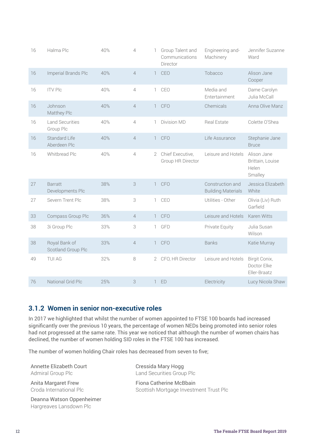| 16 | Halma Plc                           | 40% | $\overline{4}$ |                | Group Talent and<br>Communications<br>Director | Engineering and-<br>Machinery                 | Jennifer Suzanne<br>Ward                            |
|----|-------------------------------------|-----|----------------|----------------|------------------------------------------------|-----------------------------------------------|-----------------------------------------------------|
| 16 | Imperial Brands Plc                 | 40% | $\overline{4}$ | $\mathbb{1}$   | CEO                                            | Tobacco                                       | Alison Jane<br>Cooper                               |
| 16 | <b>ITV Plc</b>                      | 40% | $\overline{4}$ | $\mathbb{1}$   | CEO                                            | Media and<br>Entertainment                    | Dame Carolyn<br>Julia McCall                        |
| 16 | Johnson<br>Matthey Plc              | 40% | $\overline{4}$ | $\mathbf{1}$   | <b>CFO</b>                                     | Chemicals                                     | Anna Olive Manz                                     |
| 16 | <b>Land Securities</b><br>Group Plc | 40% | $\overline{4}$ | 1              | Division MD                                    | <b>Real Estate</b>                            | Colette O'Shea                                      |
| 16 | Standard Life<br>Aberdeen Plc       | 40% | $\overline{4}$ | $\mathbb{1}$   | <b>CFO</b>                                     | Life Assurance                                | Stephanie Jane<br><b>Bruce</b>                      |
| 16 | Whitbread Plc                       | 40% | 4              | $\overline{2}$ | Chief Executive,<br>Group HR Director          | Leisure and Hotels                            | Alison Jane<br>Brittain, Louise<br>Helen<br>Smalley |
| 27 | <b>Barratt</b><br>Developments Plc  | 38% | 3              | $\mathbf{1}$   | CFO                                            | Construction and<br><b>Building Materials</b> | Jessica Elizabeth<br>White                          |
| 27 | Severn Trent Plc                    | 38% | 3              | $\mathbb{1}$   | CEO                                            | Utilities - Other                             | Olivia (Liv) Ruth<br>Garfield                       |
| 33 | Compass Group Plc                   | 36% | $\overline{4}$ | $\mathbb{1}$   | CFO                                            | Leisure and Hotels                            | Karen Witts                                         |
| 38 | 3i Group Plc                        | 33% | 3              | $\mathbb{1}$   | GFD                                            | Private Equity                                | Julia Susan<br>Wilson                               |
| 38 | Royal Bank of<br>Scotland Group Plc | 33% | $\overline{4}$ | $\mathbb{1}$   | CFO                                            | <b>Banks</b>                                  | Katie Murray                                        |
| 49 | <b>TUI AG</b>                       | 32% | 8              | $\mathbf{2}$   | CFO, HR Director                               | Leisure and Hotels                            | Birgit Conix,<br>Doctor Elke<br>Eller-Braatz        |
| 76 | National Grid Plc                   | 25% | 3              | $\mathbf{1}$   | ED                                             | Electricity                                   | Lucy Nicola Shaw                                    |

## **3.1.2 Women in senior non-executive roles**

In 2017 we highlighted that whilst the number of women appointed to FTSE 100 boards had increased significantly over the previous 10 years, the percentage of women NEDs being promoted into senior roles had not progressed at the same rate. This year we noticed that although the number of women chairs has declined, the number of women holding SID roles in the FTSE 100 has increased.

The number of women holding Chair roles has decreased from seven to five;

| Annette Elizabeth Court    | Cressida Mary Hogg                     |
|----------------------------|----------------------------------------|
| Admiral Group Plc          | Land Securities Group Plc              |
| <b>Anita Margaret Frew</b> | Fiona Catherine McBbain                |
| Croda International Plc    | Scottish Mortgage Investment Trust Plc |
| Deanna Watson Oppenheimer  |                                        |

Hargreaves Lansdown Plc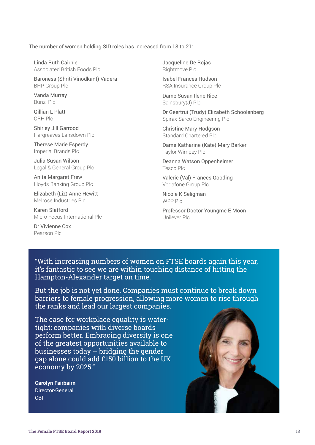The number of women holding SID roles has increased from 18 to 21:

Linda Ruth Cairnie Associated British Foods Plc

Baroness (Shriti Vinodkant) Vadera BHP Group Plc

Vanda Murray Bunzl Plc

Gillian L Platt CRH Plc

Shirley Jill Garrood Hargreaves Lansdown Plc

Therese Marie Esperdy Imperial Brands Plc

Julia Susan Wilson Legal & General Group Plc

Anita Margaret Frew Lloyds Banking Group Plc

Elizabeth (Liz) Anne Hewitt Melrose Industries Plc

Karen Slatford Micro Focus International Plc

Dr Vivienne Cox Pearson Plc

Jacqueline De Rojas Rightmove Plc

Isabel Frances Hudson RSA Insurance Group Plc

Dame Susan Ilene Rice Sainsbury(J) Plc

Dr Geertrui (Trudy) Elizabeth Schoolenberg Spirax-Sarco Engineering Plc

Christine Mary Hodgson Standard Chartered Plc

Dame Katharine (Kate) Mary Barker Taylor Wimpey Plc

Deanna Watson Oppenheimer Tesco Plc

Valerie (Val) Frances Gooding Vodafone Group Plc

Nicole K Seligman WPP Plc

Professor Doctor Youngme E Moon Unilever Plc

"With increasing numbers of women on FTSE boards again this year, it's fantastic to see we are within touching distance of hitting the Hampton-Alexander target on time.

But the job is not yet done. Companies must continue to break down barriers to female progression, allowing more women to rise through the ranks and lead our largest companies.

The case for workplace equality is watertight: companies with diverse boards perform better. Embracing diversity is one of the greatest opportunities available to businesses today – bridging the gender gap alone could add £150 billion to the UK economy by 2025."

**Carolyn Fairbairn** Director-General CBI

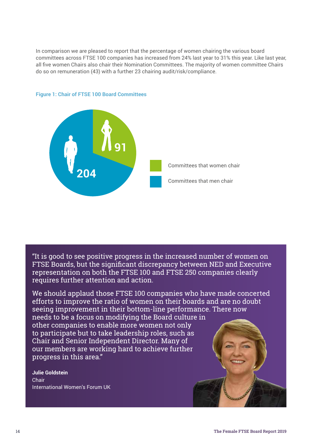In comparison we are pleased to report that the percentage of women chairing the various board committees across FTSE 100 companies has increased from 24% last year to 31% this year. Like last year, all five women Chairs also chair their Nomination Committees. The majority of women committee Chairs do so on remuneration (43) with a further 23 chairing audit/risk/compliance.



#### **Figure 1: Chair of FTSE 100 Board Committees**

"It is good to see positive progress in the increased number of women on FTSE Boards, but the significant discrepancy between NED and Executive representation on both the FTSE 100 and FTSE 250 companies clearly requires further attention and action.

We should applaud those FTSE 100 companies who have made concerted efforts to improve the ratio of women on their boards and are no doubt seeing improvement in their bottom-line performance. There now needs to be a focus on modifying the Board culture in other companies to enable more women not only to participate but to take leadership roles, such as Chair and Senior Independent Director. Many of our members are working hard to achieve further progress in this area."

**Julie Goldstein** Chair International Women's Forum UK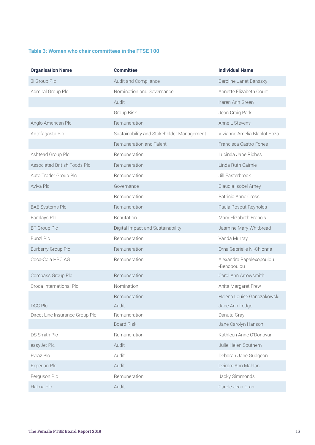### **Table 3: Women who chair committees in the FTSE 100**

| <b>Organisation Name</b>            | <b>Committee</b>                          | <b>Individual Name</b>                  |
|-------------------------------------|-------------------------------------------|-----------------------------------------|
| 3i Group Plc                        | Audit and Compliance                      | Caroline Janet Banszky                  |
| Admiral Group Plc                   | Nomination and Governance                 | Annette Elizabeth Court                 |
|                                     | Audit                                     | Karen Ann Green                         |
|                                     | Group Risk                                | Jean Craig Park                         |
| Anglo American Plc                  | Remuneration                              | Anne L Stevens                          |
| Antofagasta Plc                     | Sustainability and Stakeholder Management | Vivianne Amelia Blanlot Soza            |
|                                     | Remuneration and Talent                   | Francisca Castro Fones                  |
| Ashtead Group Plc                   | Remuneration                              | Lucinda Jane Riches                     |
| <b>Associated British Foods Plc</b> | Remuneration                              | Linda Ruth Cairnie                      |
| Auto Trader Group Plc               | Remuneration                              | Jill Easterbrook                        |
| Aviva Plc                           | Governance                                | Claudia Isobel Arney                    |
|                                     | Remuneration                              | Patricia Anne Cross                     |
| <b>BAE Systems Plc</b>              | Remuneration                              | Paula Rosput Reynolds                   |
| Barclays Plc                        | Reputation                                | Mary Elizabeth Francis                  |
| <b>BT Group Plc</b>                 | Digital Impact and Sustainability         | Jasmine Mary Whitbread                  |
| <b>Bunzl Plc</b>                    | Remuneration                              | Vanda Murray                            |
| <b>Burberry Group Plc</b>           | Remuneration                              | Orna Gabrielle Ni-Chionna               |
| Coca-Cola HBC AG                    | Remuneration                              | Alexandra Papalexopoulou<br>-Benopoulou |
| Compass Group Plc                   | Remuneration                              | Carol Ann Arrowsmith                    |
| Croda International Plc             | Nomination                                | Anita Margaret Frew                     |
|                                     | Remuneration                              | Helena Louise Ganczakowski              |
| DCC Plc                             | Audit                                     | Jane Ann Lodge                          |
| Direct Line Insurance Group Plc     | Remuneration                              | Danuta Gray                             |
|                                     | <b>Board Risk</b>                         | Jane Carolyn Hanson                     |
| DS Smith Plc                        | Remuneration                              | Kathleen Anne O'Donovan                 |
| easyJet Plc                         | Audit                                     | Julie Helen Southern                    |
| Evraz Plc                           | Audit                                     | Deborah Jane Gudgeon                    |
| Experian Plc                        | Audit                                     | Deirdre Ann Mahlan                      |
| Ferguson Plc                        | Remuneration                              | Jacky Simmonds                          |
| Halma Plc                           | Audit                                     | Carole Jean Cran                        |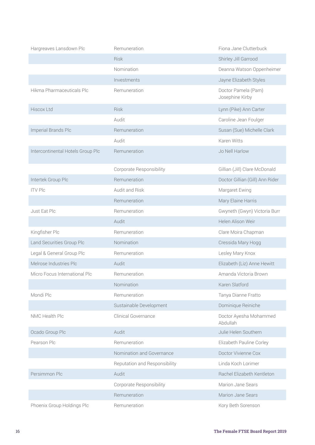| Hargreaves Lansdown Plc           | Remuneration                    | Fiona Jane Clutterbuck                 |
|-----------------------------------|---------------------------------|----------------------------------------|
|                                   | <b>Risk</b>                     | Shirley Jill Garrood                   |
|                                   | Nomination                      | Deanna Watson Oppenheimer              |
|                                   | Investments                     | Jayne Elizabeth Styles                 |
| Hikma Pharmaceuticals Plc         | Remuneration                    | Doctor Pamela (Pam)<br>Josephine Kirby |
| Hiscox Ltd                        | <b>Risk</b>                     | Lynn (Pike) Ann Carter                 |
|                                   | Audit                           | Caroline Jean Foulger                  |
| Imperial Brands Plc               | Remuneration                    | Susan (Sue) Michelle Clark             |
|                                   | Audit                           | Karen Witts                            |
| Intercontinental Hotels Group Plc | Remuneration                    | Jo Nell Harlow                         |
|                                   | <b>Corporate Responsibility</b> | Gillian (Jill) Clare McDonald          |
| Intertek Group Plc                | Remuneration                    | Doctor Gillian (Gill) Ann Rider        |
| <b>ITV Plc</b>                    | Audit and Risk                  | Margaret Ewing                         |
|                                   | Remuneration                    | Mary Elaine Harris                     |
| Just Eat Plc                      | Remuneration                    | Gwyneth (Gwyn) Victoria Burr           |
|                                   | Audit                           | Helen Alison Weir                      |
| Kingfisher Plc                    | Remuneration                    | Clare Moira Chapman                    |
| Land Securities Group Plc         | Nomination                      | Cressida Mary Hogg                     |
| Legal & General Group Plc         | Remuneration                    | Lesley Mary Knox                       |
| Melrose Industries Plc            | Audit                           | Elizabeth (Liz) Anne Hewitt            |
| Micro Focus International Plc     | Remuneration                    | Amanda Victoria Brown                  |
|                                   | Nomination                      | Karen Slatford                         |
| Mondi Plc                         | Remuneration                    | Tanya Dianne Fratto                    |
|                                   | Sustainable Development         | Dominique Reiniche                     |
| NMC Health Plc                    | <b>Clinical Governance</b>      | Doctor Ayesha Mohammed<br>Abdullah     |
| Ocado Group Plc                   | Audit                           | Julie Helen Southern                   |
| Pearson Plc                       | Remuneration                    | Elizabeth Pauline Corley               |
|                                   | Nomination and Governance       | Doctor Vivienne Cox                    |
|                                   | Reputation and Responsibility   | Linda Koch Lorimer                     |
| Persimmon Plc                     | Audit                           | Rachel Elizabeth Kentleton             |
|                                   | Corporate Responsibility        | Marion Jane Sears                      |
|                                   | Remuneration                    | Marion Jane Sears                      |
| Phoenix Group Holdings Plc        | Remuneration                    | Kory Beth Sorenson                     |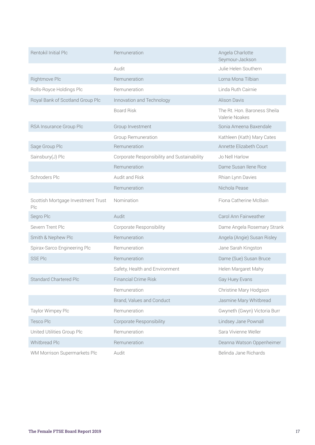| Rentokil Initial Plc                                 | Remuneration                                | Angela Charlotte<br>Seymour-Jackson            |
|------------------------------------------------------|---------------------------------------------|------------------------------------------------|
|                                                      | Audit                                       | Julie Helen Southern                           |
| Rightmove Plc                                        | Remuneration                                | Lorna Mona Tilbian                             |
| Rolls-Royce Holdings Plc                             | Remuneration                                | Linda Ruth Cairnie                             |
| Royal Bank of Scotland Group Plc                     | Innovation and Technology                   | <b>Alison Davis</b>                            |
|                                                      | <b>Board Risk</b>                           | The Rt. Hon. Baroness Sheila<br>Valerie Noakes |
| RSA Insurance Group Plc                              | Group Investment                            | Sonia Ameena Baxendale                         |
|                                                      | Group Remuneration                          | Kathleen (Kath) Mary Cates                     |
| Sage Group Plc                                       | Remuneration                                | Annette Elizabeth Court                        |
| Sainsbury(J) Plc                                     | Corporate Responsibility and Sustainability | Jo Nell Harlow                                 |
|                                                      | Remuneration                                | Dame Susan Ilene Rice                          |
| Schroders Plc                                        | Audit and Risk                              | Rhian Lynn Davies                              |
|                                                      | Remuneration                                | Nichola Pease                                  |
| Scottish Mortgage Investment Trust<br>P <sub>c</sub> | Nomination                                  | Fiona Catherine McBain                         |
| Segro Plc                                            | Audit                                       | Carol Ann Fairweather                          |
| Severn Trent Plc                                     | Corporate Responsibility                    | Dame Angela Rosemary Strank                    |
| Smith & Nephew Plc                                   | Remuneration                                | Angela (Angie) Susan Risley                    |
| Spirax-Sarco Engineering Plc                         | Remuneration                                | Jane Sarah Kingston                            |
| <b>SSE Plc</b>                                       | Remuneration                                | Dame (Sue) Susan Bruce                         |
|                                                      | Safety, Health and Environment              | Helen Margaret Mahy                            |
| Standard Chartered Plc                               | <b>Financial Crime Risk</b>                 | Gay Huey Evans                                 |
|                                                      | Remuneration                                | Christine Mary Hodgson                         |
|                                                      | Brand, Values and Conduct                   | Jasmine Mary Whitbread                         |
| Taylor Wimpey Plc                                    | Remuneration                                | Gwyneth (Gwyn) Victoria Burr                   |
| Tesco Plc                                            | Corporate Responsibility                    | Lindsey Jane Pownall                           |
| United Utilities Group Plc                           | Remuneration                                | Sara Vivienne Weller                           |
| Whitbread Plc                                        | Remuneration                                | Deanna Watson Oppenheimer                      |
| WM Morrison Supermarkets Plc                         | Audit                                       | Belinda Jane Richards                          |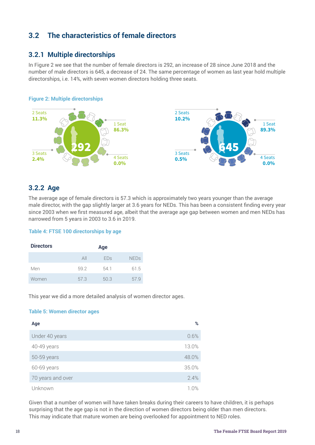# 3.2.1 Multiple Directorships 3.2.1 Multiple Directorships **3.2 The characteristics of female directors**

#### In Figure 2 we see that the number of female directors is 264, an increase of five since November 2017, **3.2.1 Multiple directorships and the control of the control of the control of the control of the control of the control of the control of the control of the control of the control of the control of the control of the co** In Figure 2 we see that the number of female directors is 264, an increase of five since November 2017,

In Figure 2 we see that the number of female directors is 292, an increase of 28 since June 2018 and the number of male directors is 645, a decrease of 24. The same percentage of women as last year hold multiple directorships, i.e. 14%, with seven women directors holding three seats.

#### ${\bf Figure~2:}$  Multiple directorships  ${\bf 1}$



# 3.2.2 Age and Tenure **3.2.2 Age**

male director, with the gap slightly larger at 3.6 years for NEDs. This has been a consistent finding every year since 2003 when we first measured age, albeit that the average age gap between women and men NEDs has 3.2 Age and Tenure The average age of female directors is 57.3 which is approximately two years younger than the average narrowed from 5 years in 2003 to 3.6 in 2019.

#### **Table 4: FTSE 100 directorships by age**

| <b>Directors</b> |      | Age        |             |
|------------------|------|------------|-------------|
|                  | All  | <b>EDs</b> | <b>NEDs</b> |
| Men              | 59.2 | 54.1       | 61.5        |
| Women            | 57.3 | 50.3       | 57.9        |

**Directors Age Tenure Directors Age Tenure** This year we did a more detailed analysis of women director ages.

#### **Table 5: Women director ages and the set of the set of the set of the set of the set of the set of the set of the set of the set of the set of the set of the set of the set of the set of the set of the set of the set of t**

| Age               | %     |
|-------------------|-------|
| Under 40 years    | 0.6%  |
| 40-49 years       | 13.0% |
| 50-59 years       | 48.0% |
| 60-69 years       | 35.0% |
| 70 years and over | 2.4%  |
| Unknown           | 1.0%  |

Given that a number of women will have taken breaks during their careers to have children, it is perhaps surprising that the age gap is not in the direction of women directors being older than men directors. This may indicate that mature women are being overlooked for appointment to NED roles.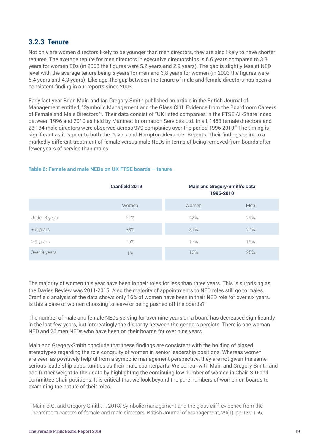## **3.2.3 Tenure**

Not only are women directors likely to be younger than men directors, they are also likely to have shorter tenures. The average tenure for men directors in executive directorships is 6.6 years compared to 3.3 years for women EDs (in 2003 the figures were 5.2 years and 2.9 years). The gap is slightly less at NED level with the average tenure being 5 years for men and 3.8 years for women (in 2003 the figures were 5.4 years and 4.3 years). Like age, the gap between the tenure of male and female directors has been a consistent finding in our reports since 2003.

Early last year Brian Main and Ian Gregory-Smith published an article in the British Journal of Management entitled, "Symbolic Management and the Glass Cliff: Evidence from the Boardroom Careers of Female and Male Directors"1 . Their data consist of "UK listed companies in the FTSE All-Share Index between 1996 and 2010 as held by Manifest Information Services Ltd. In all, 1453 female directors and 23,134 male directors were observed across 979 companies over the period 1996-2010." The timing is significant as it is prior to both the Davies and Hampton-Alexander Reports. Their findings point to a markedly different treatment of female versus male NEDs in terms of being removed from boards after fewer years of service than males.

|               | <b>Cranfield 2019</b> | <b>Main and Gregory-Smith's Data</b><br>1996-2010 |     |
|---------------|-----------------------|---------------------------------------------------|-----|
|               | Women                 | Women                                             | Men |
| Under 3 years | 51%                   | 42%                                               | 29% |
| 3-6 years     | 33%                   | 31%                                               | 27% |
| 6-9 years     | 15%                   | 17%                                               | 19% |
| Over 9 years  | $1\%$                 | 10%                                               | 25% |

#### **Table 6: Female and male NEDs on UK FTSE boards – tenure**

The majority of women this year have been in their roles for less than three years. This is surprising as the Davies Review was 2011-2015. Also the majority of appointments to NED roles still go to males. Cranfield analysis of the data shows only 16% of women have been in their NED role for over six years. Is this a case of women choosing to leave or being pushed off the boards?

The number of male and female NEDs serving for over nine years on a board has decreased significantly in the last few years, but interestingly the disparity between the genders persists. There is one woman NED and 26 men NEDs who have been on their boards for over nine years.

Main and Gregory-Smith conclude that these findings are consistent with the holding of biased stereotypes regarding the role congruity of women in senior leadership positions. Whereas women are seen as positively helpful from a symbolic management perspective, they are not given the same serious leadership opportunities as their male counterparts. We concur with Main and Gregory-Smith and add further weight to their data by highlighting the continuing low number of women in Chair, SID and committee Chair positions. It is critical that we look beyond the pure numbers of women on boards to examining the nature of their roles.

<sup>1</sup> Main, B.G. and Gregory-Smith, I., 2018. Symbolic management and the glass cliff: evidence from the boardroom careers of female and male directors. British Journal of Management, 29(1), pp.136-155.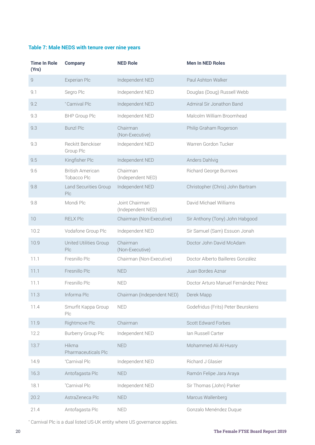## **Table 7: Male NEDS with tenure over nine years**

| <b>Time In Role</b><br>(Yrs)                              | <b>Company</b>                                 | <b>NED Role</b>                     | <b>Men In NED Roles</b>              |
|-----------------------------------------------------------|------------------------------------------------|-------------------------------------|--------------------------------------|
| $\mathcal{G}% _{M_{1},M_{2}}^{\alpha,\beta}(\varepsilon)$ | Experian Plc                                   | Independent NED                     | Paul Ashton Walker                   |
| 9.1                                                       | Segro Plc                                      | Independent NED                     | Douglas (Doug) Russell Webb          |
| 9.2                                                       | *Carnival Plc                                  | Independent NED                     | Admiral Sir Jonathon Band            |
| 9.3                                                       | <b>BHP Group Plc</b>                           | Independent NED                     | Malcolm William Broomhead            |
| 9.3                                                       | <b>Bunzl Plc</b>                               | Chairman<br>(Non-Executive)         | Philip Graham Rogerson               |
| 9.3                                                       | Reckitt Benckiser<br>Group Plc                 | Independent NED                     | Warren Gordon Tucker                 |
| 9.5                                                       | Kingfisher Plc                                 | Independent NED                     | Anders Dahlvig                       |
| 9.6                                                       | <b>British American</b><br>Tobacco Plc         | Chairman<br>(Independent NED)       | <b>Richard George Burrows</b>        |
| 9.8                                                       | <b>Land Securities Group</b><br>P <sub>c</sub> | Independent NED                     | Christopher (Chris) John Bartram     |
| 9.8                                                       | Mondi Plc                                      | Joint Chairman<br>(Independent NED) | David Michael Williams               |
| 10                                                        | <b>RELX Plc</b>                                | Chairman (Non-Executive)            | Sir Anthony (Tony) John Habgood      |
| 10.2                                                      | Vodafone Group Plc                             | Independent NED                     | Sir Samuel (Sam) Essuon Jonah        |
| 10.9                                                      | United Utilities Group<br>Plc                  | Chairman<br>(Non-Executive)         | Doctor John David McAdam             |
| 11.1                                                      | Fresnillo Plc                                  | Chairman (Non-Executive)            | Doctor Alberto Bailleres González    |
| 11.1                                                      | Fresnillo Plc                                  | <b>NED</b>                          | Juan Bordes Aznar                    |
| 11.1                                                      | Fresnillo Plc                                  | <b>NED</b>                          | Doctor Arturo Manuel Fernández Pérez |
| 11.3                                                      | Informa Plc                                    | Chairman (Independent NED)          | Derek Mapp                           |
| 11.4                                                      | Smurfit Kappa Group<br>P C                     | <b>NED</b>                          | Godefridus (Frits) Peter Beurskens   |
| 11.9                                                      | Rightmove Plc                                  | Chairman                            | Scott Edward Forbes                  |
| 12.2                                                      | <b>Burberry Group Plc</b>                      | Independent NED                     | Ian Russell Carter                   |
| 13.7                                                      | Hikma<br>Pharmaceuticals Plc                   | <b>NED</b>                          | Mohammed Ali Al-Husry                |
| 14.9                                                      | *Carnival Plc                                  | Independent NED                     | Richard J Glasier                    |
| 16.3                                                      | Antofagasta Plc                                | <b>NED</b>                          | Ramón Felipe Jara Araya              |
| 18.1                                                      | *Carnival Plc                                  | Independent NED                     | Sir Thomas (John) Parker             |
| 20.2                                                      | AstraZeneca Plc                                | <b>NED</b>                          | Marcus Wallenberg                    |
| 21.4                                                      | Antofagasta Plc                                | <b>NED</b>                          | Gonzalo Menéndez Duque               |

\* Carnival Plc is a dual listed US-UK entity where US governance applies.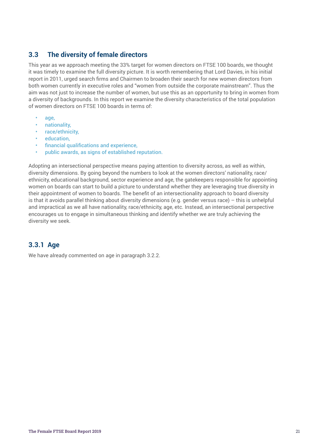## **3.3 The diversity of female directors**

This year as we approach meeting the 33% target for women directors on FTSE 100 boards, we thought it was timely to examine the full diversity picture. It is worth remembering that Lord Davies, in his initial report in 2011, urged search firms and Chairmen to broaden their search for new women directors from both women currently in executive roles and "women from outside the corporate mainstream". Thus the aim was not just to increase the number of women, but use this as an opportunity to bring in women from a diversity of backgrounds. In this report we examine the diversity characteristics of the total population of women directors on FTSE 100 boards in terms of:

- age.
- nationality,
- race/ethnicity,
- education.
- financial qualifications and experience,
- public awards, as signs of established reputation.

Adopting an intersectional perspective means paying attention to diversity across, as well as within, diversity dimensions. By going beyond the numbers to look at the women directors' nationality, race/ ethnicity, educational background, sector experience and age, the gatekeepers responsible for appointing women on boards can start to build a picture to understand whether they are leveraging true diversity in their appointment of women to boards. The benefit of an intersectionality approach to board diversity is that it avoids parallel thinking about diversity dimensions (e.g. gender versus race) – this is unhelpful and impractical as we all have nationality, race/ethnicity, age, etc. Instead, an intersectional perspective encourages us to engage in simultaneous thinking and identify whether we are truly achieving the diversity we seek.

#### **3.3.1 Age**

We have already commented on age in paragraph 3.2.2.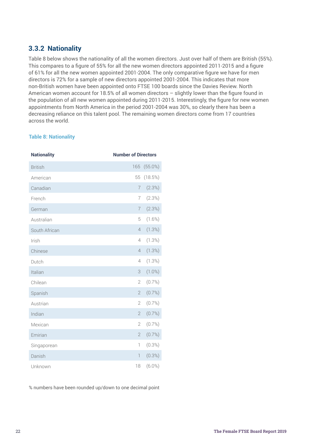## **3.3.2 Nationality**

Table 8 below shows the nationality of all the women directors. Just over half of them are British (55%). This compares to a figure of 55% for all the new women directors appointed 2011-2015 and a figure of 61% for all the new women appointed 2001-2004. The only comparative figure we have for men directors is 72% for a sample of new directors appointed 2001-2004. This indicates that more non-British women have been appointed onto FTSE 100 boards since the Davies Review. North American women account for 18.5% of all women directors – slightly lower than the figure found in the population of all new women appointed during 2011-2015. Interestingly, the figure for new women appointments from North America in the period 2001-2004 was 30%, so clearly there has been a decreasing reliance on this talent pool. The remaining women directors come from 17 countries across the world.

#### **Table 8: Nationality**

| <b>Nationality</b> | <b>Number of Directors</b> |            |  |  |  |
|--------------------|----------------------------|------------|--|--|--|
| <b>British</b>     | 165                        | $(55.0\%)$ |  |  |  |
| American           | 55                         | $(18.5\%)$ |  |  |  |
| Canadian           | $\overline{7}$             | (2.3%)     |  |  |  |
| French             | $\overline{7}$             | (2.3%)     |  |  |  |
| German             | 7 <sup>1</sup>             | (2.3%)     |  |  |  |
| Australian         | 5                          | $(1.6\%)$  |  |  |  |
| South African      | $\overline{4}$             | (1.3%)     |  |  |  |
| Irish              | $\overline{4}$             | (1.3%)     |  |  |  |
| Chinese            | $\overline{4}$             | (1.3%)     |  |  |  |
| Dutch              | $\overline{4}$             | (1.3%)     |  |  |  |
| Italian            | 3                          | $(1.0\%)$  |  |  |  |
| Chilean            | $\overline{2}$             | (0.7%)     |  |  |  |
| Spanish            | $\overline{2}$             | (0.7%)     |  |  |  |
| Austrian           | $\overline{2}$             | (0.7%      |  |  |  |
| Indian             | $\overline{2}$             | (0.7%)     |  |  |  |
| Mexican            | $\mathbf{2}$               | (0.7%)     |  |  |  |
| Emirian            | $\overline{2}$             | (0.7%)     |  |  |  |
| Singaporean        | 1                          | (0.3%)     |  |  |  |
| Danish             | 1                          | (0.3%)     |  |  |  |
| Unknown            | 18                         | $(6.0\%)$  |  |  |  |

% numbers have been rounded up/down to one decimal point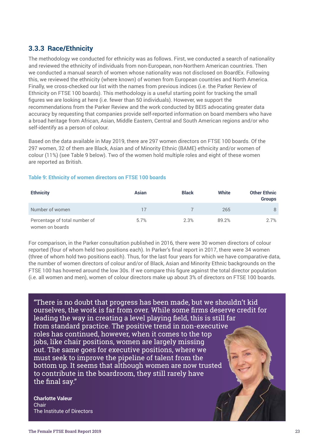## **3.3.3 Race/Ethnicity**

The methodology we conducted for ethnicity was as follows. First, we conducted a search of nationality and reviewed the ethnicity of individuals from non-European, non-Northern American countries. Then we conducted a manual search of women whose nationality was not disclosed on BoardEx. Following this, we reviewed the ethnicity (where known) of women from European countries and North America. Finally, we cross-checked our list with the names from previous indices (i.e. the Parker Review of Ethnicity on FTSE 100 boards). This methodology is a useful starting point for tracking the small figures we are looking at here (i.e. fewer than 50 individuals). However, we support the recommendations from the Parker Review and the work conducted by BEIS advocating greater data accuracy by requesting that companies provide self-reported information on board members who have a broad heritage from African, Asian, Middle Eastern, Central and South American regions and/or who self-identify as a person of colour.

Based on the data available in May 2019, there are 297 women directors on FTSE 100 boards. Of the 297 women, 32 of them are Black, Asian and of Minority Ethnic (BAME) ethnicity and/or women of colour (11%) (see Table 9 below). Two of the women hold multiple roles and eight of these women are reported as British.

#### **Table 9: Ethnicity of women directors on FTSE 100 boards**

| <b>Ethnicity</b>                                 | Asian | <b>Black</b> | White | <b>Other Ethnic</b><br><b>Groups</b> |
|--------------------------------------------------|-------|--------------|-------|--------------------------------------|
| Number of women                                  | 17    |              | 265   | 8                                    |
| Percentage of total number of<br>women on boards | 5.7%  | 2.3%         | 89.2% | 2.7%                                 |

For comparison, in the Parker consultation published in 2016, there were 30 women directors of colour reported (four of whom held two positions each). In Parker's final report in 2017, there were 34 women (three of whom hold two positions each). Thus, for the last four years for which we have comparative data, the number of women directors of colour and/or of Black, Asian and Minority Ethnic backgrounds on the FTSE 100 has hovered around the low 30s. If we compare this figure against the total director population (i.e. all women and men), women of colour directors make up about 3% of directors on FTSE 100 boards.

"There is no doubt that progress has been made, but we shouldn't kid ourselves, the work is far from over. While some firms deserve credit for leading the way in creating a level playing field, this is still far from standard practice. The positive trend in non-executive roles has continued, however, when it comes to the top jobs, like chair positions, women are largely missing out. The same goes for executive positions, where we must seek to improve the pipeline of talent from the bottom up. It seems that although women are now trusted to contribute in the boardroom, they still rarely have the final say."

**Charlotte Valeur** Chair The Institute of Directors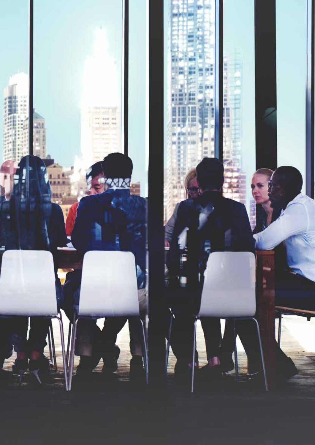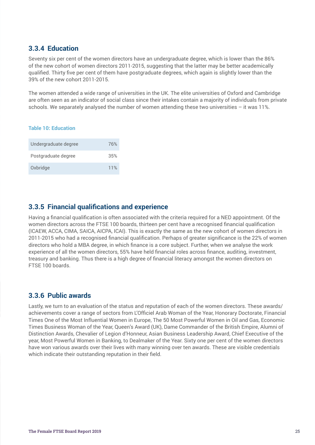## **3.3.4 Education**

Seventy six per cent of the women directors have an undergraduate degree, which is lower than the 86% of the new cohort of women directors 2011-2015, suggesting that the latter may be better academically qualified. Thirty five per cent of them have postgraduate degrees, which again is slightly lower than the 39% of the new cohort 2011-2015.

The women attended a wide range of universities in the UK. The elite universities of Oxford and Cambridge are often seen as an indicator of social class since their intakes contain a majority of individuals from private schools. We separately analysed the number of women attending these two universities – it was 11%.

#### **Table 10: Education**

| Undergraduate degree | 76% |
|----------------------|-----|
| Postgraduate degree  | 35% |
| Oxbridge             | 11% |

### **3.3.5 Financial qualifications and experience**

Having a financial qualification is often associated with the criteria required for a NED appointment. Of the women directors across the FTSE 100 boards, thirteen per cent have a recognised financial qualification (ICAEW, ACCA, CIMA, SAICA, AICPA, ICAI). This is exactly the same as the new cohort of women directors in 2011-2015 who had a recognised financial qualification. Perhaps of greater significance is the 22% of women directors who hold a MBA degree, in which finance is a core subject. Further, when we analyse the work experience of all the women directors, 55% have held financial roles across finance, auditing, investment, treasury and banking. Thus there is a high degree of financial literacy amongst the women directors on FTSE 100 boards.

### **3.3.6 Public awards**

Lastly, we turn to an evaluation of the status and reputation of each of the women directors. These awards/ achievements cover a range of sectors from L'Officiel Arab Woman of the Year, Honorary Doctorate, Financial Times One of the Most Influential Women in Europe, The 50 Most Powerful Women in Oil and Gas, Economic Times Business Woman of the Year, Queen's Award (UK), Dame Commander of the British Empire, Alumni of Distinction Awards, Chevalier of Legion d'Honneur, Asian Business Leadership Award, Chief Executive of the year, Most Powerful Women in Banking, to Dealmaker of the Year. Sixty one per cent of the women directors have won various awards over their lives with many winning over ten awards. These are visible credentials which indicate their outstanding reputation in their field.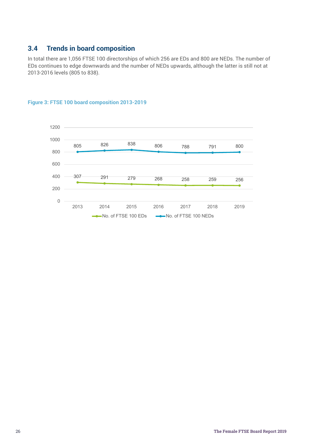## **3.4 Trends in board composition**

In total there are 1,056 FTSE 100 directorships of which 256 are EDs and 800 are NEDs. The number of EDs continues to edge downwards and the number of NEDs upwards, although the latter is still not at 2013-2016 levels (805 to 838).



#### **Figure 3: FTSE 100 board composition 2013-2019**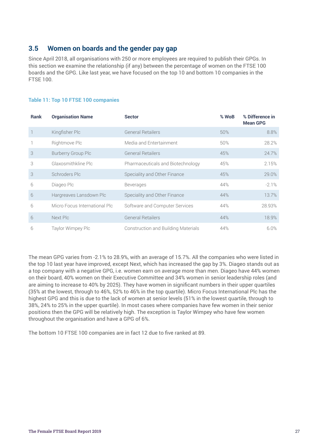## **3.5 Women on boards and the gender pay gap**

Since April 2018, all organisations with 250 or more employees are required to publish their GPGs. In this section we examine the relationship (if any) between the percentage of women on the FTSE 100 boards and the GPG. Like last year, we have focused on the top 10 and bottom 10 companies in the FTSE 100.

#### **Table 11: Top 10 FTSE 100 companies**

| <b>Rank</b> | <b>Organisation Name</b>      | <b>Sector</b>                              | % WoB | % Difference in<br><b>Mean GPG</b> |
|-------------|-------------------------------|--------------------------------------------|-------|------------------------------------|
|             | Kingfisher Plc                | <b>General Retailers</b>                   | 50%   | 8.8%                               |
|             | Rightmove Plc                 | Media and Entertainment                    | 50%   | 28.2%                              |
| 3           | <b>Burberry Group Plc</b>     | <b>General Retailers</b>                   | 45%   | 24.7%                              |
| 3           | Glaxosmithkline Plc           | Pharmaceuticals and Biotechnology          | 45%   | 2.15%                              |
| 3           | Schroders Plc                 | Speciality and Other Finance               | 45%   | 29.0%                              |
| 6           | Diageo Plc                    | <b>Beverages</b>                           | 44%   | $-2.1%$                            |
| 6           | Hargreaves Lansdown Plc       | Speciality and Other Finance               | 44%   | 13.7%                              |
| 6           | Micro Focus International Plc | Software and Computer Services             | 44%   | 28.93%                             |
| 6           | Next Plc                      | <b>General Retailers</b>                   | 44%   | 18.9%                              |
| 6           | Taylor Wimpey Plc             | <b>Construction and Building Materials</b> | 44%   | 6.0%                               |

The mean GPG varies from -2.1% to 28.9%, with an average of 15.7%. All the companies who were listed in the top 10 last year have improved, except Next, which has increased the gap by 3%. Diageo stands out as a top company with a negative GPG, i.e. women earn on average more than men. Diageo have 44% women on their board, 40% women on their Executive Committee and 34% women in senior leadership roles (and are aiming to increase to 40% by 2025). They have women in significant numbers in their upper quartiles (35% at the lowest, through to 46%, 52% to 46% in the top quartile). Micro Focus International Plc has the highest GPG and this is due to the lack of women at senior levels (51% in the lowest quartile, through to 38%, 24% to 25% in the upper quartile). In most cases where companies have few women in their senior positions then the GPG will be relatively high. The exception is Taylor Wimpey who have few women throughout the organisation and have a GPG of 6%.

The bottom 10 FTSE 100 companies are in fact 12 due to five ranked at 89.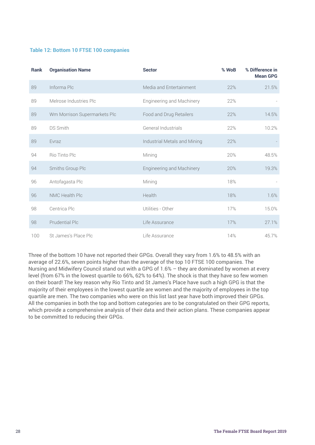#### **Table 12: Bottom 10 FTSE 100 companies**

| <b>Rank</b> | <b>Organisation Name</b>     | <b>Sector</b>                    | $%$ WoB | % Difference in<br><b>Mean GPG</b> |
|-------------|------------------------------|----------------------------------|---------|------------------------------------|
| 89          | Informa Plc                  | Media and Entertainment          | 22%     | 21.5%                              |
| 89          | Melrose Industries Plc       | Engineering and Machinery        | 22%     |                                    |
| 89          | Wm Morrison Supermarkets Plc | Food and Drug Retailers          | 22%     | 14.5%                              |
| 89          | <b>DS Smith</b>              | General Industrials              | 22%     | 10.2%                              |
| 89          | Evraz                        | Industrial Metals and Mining     | 22%     |                                    |
| 94          | Rio Tinto Plc                | Mining                           | 20%     | 48.5%                              |
| 94          | Smiths Group Plc             | <b>Engineering and Machinery</b> | 20%     | 19.3%                              |
| 96          | Antofagasta Plc              | Mining                           | 18%     |                                    |
| 96          | NMC Health Plc               | Health                           | 18%     | 1.6%                               |
| 98          | Centrica Plc                 | Utilities - Other                | 17%     | 15.0%                              |
| 98          | <b>Prudential Plc</b>        | Life Assurance                   | 17%     | 27.1%                              |
| 100         | St James's Place Plc         | Life Assurance                   | 14%     | 45.7%                              |

Three of the bottom 10 have not reported their GPGs. Overall they vary from 1.6% to 48.5% with an average of 22.6%, seven points higher than the average of the top 10 FTSE 100 companies. The Nursing and Midwifery Council stand out with a GPG of 1.6% – they are dominated by women at every level (from 67% in the lowest quartile to 66%, 62% to 64%). The shock is that they have so few women on their board! The key reason why Rio Tinto and St James's Place have such a high GPG is that the majority of their employees in the lowest quartile are women and the majority of employees in the top quartile are men. The two companies who were on this list last year have both improved their GPGs. All the companies in both the top and bottom categories are to be congratulated on their GPG reports, which provide a comprehensive analysis of their data and their action plans. These companies appear to be committed to reducing their GPGs.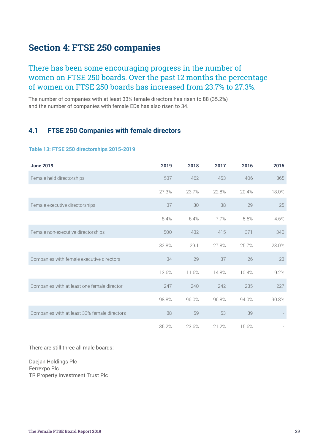# **Section 4: FTSE 250 companies**

# There has been some encouraging progress in the number of women on FTSE 250 boards. Over the past 12 months the percentage of women on FTSE 250 boards has increased from 23.7% to 27.3%.

The number of companies with at least 33% female directors has risen to 88 (35.2%) and the number of companies with female EDs has also risen to 34.

## **4.1 FTSE 250 Companies with female directors**

#### **Table 13: FTSE 250 directorships 2015-2019**

| <b>June 2019</b>                             | 2019  | 2018  | 2017  | 2016  | 2015  |
|----------------------------------------------|-------|-------|-------|-------|-------|
| Female held directorships                    | 537   | 462   | 453   | 406   | 365   |
|                                              | 27.3% | 23.7% | 22.8% | 20.4% | 18.0% |
| Female executive directorships               | 37    | 30    | 38    | 29    | 25    |
|                                              | 8.4%  | 6.4%  | 7.7%  | 5.6%  | 4.6%  |
| Female non-executive directorships           | 500   | 432   | 415   | 371   | 340   |
|                                              | 32.8% | 29.1  | 27.8% | 25.7% | 23.0% |
| Companies with female executive directors    | 34    | 29    | 37    | 26    | 23    |
|                                              | 13.6% | 11.6% | 14.8% | 10.4% | 9.2%  |
| Companies with at least one female director  | 247   | 240   | 242   | 235   | 227   |
|                                              | 98.8% | 96.0% | 96.8% | 94.0% | 90.8% |
| Companies with at least 33% female directors | 88    | 59    | 53    | 39    |       |
|                                              | 35.2% | 23.6% | 21.2% | 15.6% |       |

There are still three all male boards:

Daejan Holdings Plc Ferrexpo Plc TR Property Investment Trust Plc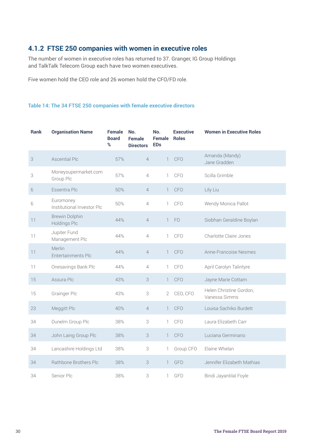# **4.1.2 FTSE 250 companies with women in executive roles**

The number of women in executive roles has returned to 37. Granger, IG Group Holdings and TalkTalk Telecom Group each have two women executives.

Five women hold the CEO role and 26 women hold the CFO/FD role.

#### **Table 14: The 34 FTSE 250 companies with female executive directors**

| <b>Rank</b>                | <b>Organisation Name</b>                | <b>Female</b><br><b>Board</b><br>% | No.<br><b>Female</b><br><b>Directors</b> | No.<br><b>Female</b><br><b>EDs</b> | <b>Executive</b><br><b>Roles</b> | <b>Women in Executive Roles</b>          |
|----------------------------|-----------------------------------------|------------------------------------|------------------------------------------|------------------------------------|----------------------------------|------------------------------------------|
| $\ensuremath{\mathcal{S}}$ | <b>Ascential Plc</b>                    | 57%                                | $\overline{4}$                           | $\overline{1}$                     | CFO                              | Amanda (Mandy)<br>Jane Gradden           |
| 3                          | Moneysupermarket.com<br>Group Plc       | 57%                                | $\overline{4}$                           | 1                                  | CFO                              | Scilla Grimble                           |
| $6\,$                      | Essentra Plc                            | 50%                                | $\overline{4}$                           | $\mathbb{1}$                       | <b>CFO</b>                       | Lily Liu                                 |
| 6                          | Euromoney<br>Institutional Investor Plc | 50%                                | $\overline{4}$                           | 1                                  | <b>CFO</b>                       | Wendy Monica Pallot                      |
| 11                         | <b>Brewin Dolphin</b><br>Holdings Plc   | 44%                                | $\overline{4}$                           | 1                                  | <b>FD</b>                        | Siobhan Geraldine Boylan                 |
| 11                         | Jupiter Fund<br>Management Plc          | 44%                                | $\overline{4}$                           | 1                                  | CFO                              | Charlotte Claire Jones                   |
| 11                         | Merlin<br>Entertainments Plc            | 44%                                | $\overline{4}$                           | $\overline{\phantom{a}}$           | <b>CFO</b>                       | Anne-Francoise Nesmes                    |
| 11                         | Onesavings Bank Plc                     | 44%                                | $\overline{4}$                           | 1                                  | CFO                              | April Carolyn Talintyre                  |
| 15                         | Assura Plc                              | 43%                                | 3                                        | $\overline{\phantom{a}}$           | <b>CFO</b>                       | Jayne Marie Cottam                       |
| 15                         | Grainger Plc                            | 43%                                | 3                                        | 2                                  | CEO, CFO                         | Helen Christine Gordon,<br>Vanessa Simms |
| 23                         | Meggitt Plc                             | 40%                                | $\overline{4}$                           | $\mathbb{1}$                       | <b>CFO</b>                       | Louisa Sachiko Burdett                   |
| 34                         | Dunelm Group Plc                        | 38%                                | 3                                        | 1                                  | <b>CFO</b>                       | Laura Elizabeth Carr                     |
| 34                         | John Laing Group Plc                    | 38%                                | 3                                        | 1                                  | CFO                              | Luciana Germinario                       |
| 34                         | Lancashire Holdings Ltd                 | 38%                                | 3                                        | 1                                  | Group CFO                        | Elaine Whelan                            |
| 34                         | Rathbone Brothers Plc                   | 38%                                | 3                                        | 1                                  | <b>GFD</b>                       | Jennifer Elizabeth Mathias               |
| 34                         | Senior Plc                              | 38%                                | 3                                        | 1                                  | GFD                              | Bindi Jayantilal Foyle                   |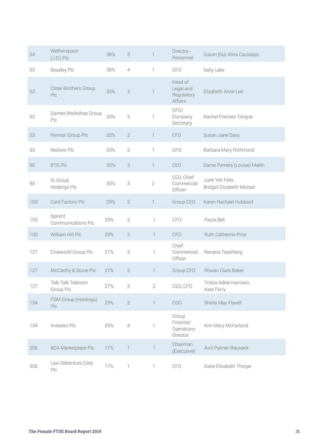| 34  | Wetherspoon<br>$(J.D.)$ Plc            | 38% | $\ensuremath{\mathsf{3}}$ | $\overline{\phantom{a}}$  | Director-<br>Personnel                               | Susan (Su) Alina Cacioppo                          |
|-----|----------------------------------------|-----|---------------------------|---------------------------|------------------------------------------------------|----------------------------------------------------|
| 50  | <b>Beazley Plc</b>                     | 36% | $\overline{4}$            | 1                         | GFD                                                  | Sally Lake                                         |
| 53  | Close Brothers Group<br>Plc            | 33% | 3                         | $\overline{\phantom{a}}$  | Head of<br>Legal and<br>Regulatory<br><b>Affairs</b> | Elizabeth Anne Lee                                 |
| 53  | Games Workshop Group<br>P <sub>c</sub> | 33% | $\overline{2}$            | $\ensuremath{\mathbb{I}}$ | GFD/<br>Company<br>Secretary                         | Rachel Frances Tonque                              |
| 53  | Pennon Group Plc                       | 33% | $\sqrt{2}$                | $\overline{\phantom{a}}$  | <b>CFO</b>                                           | Susan Jane Davy                                    |
| 53  | <b>Redrow Plc</b>                      | 33% | $\mathbf{2}$              | $\mathbb{1}$              | GFD                                                  | Barbara Mary Richmond                              |
| 90  | <b>BTG Plc</b>                         | 30% | $\ensuremath{\mathsf{3}}$ | $\overline{\phantom{a}}$  | CEO                                                  | Dame Pamela (Louise) Makin                         |
| 90  | IG Group<br>Holdings Plc               | 30% | 3                         | $\mathbf{2}$              | CEO, Chief<br>Commercial<br>Officer                  | June Yee Felix,<br><b>Bridget Elizabeth Messer</b> |
| 100 | Card Factory Plc                       | 29% | $\mathbf{2}$              | $\overline{\phantom{a}}$  | Group CEO                                            | Karen Rachael Hubbard                              |
| 100 | Spirent<br><b>Communications Plc</b>   | 29% | $\sqrt{2}$                | 1                         | CFO                                                  | Paula Bell                                         |
| 100 | William Hill Plc                       | 29% | $\overline{2}$            | $\mathbb{1}$              | <b>CFO</b>                                           | Ruth Catherine Prior                               |
| 127 | Cineworld Group Plc                    | 27% | 3                         | 1                         | Chief<br>Commercial<br>Officer                       | Renana Teperberg                                   |
| 127 | McCarthy & Stone Plc                   | 27% | 3                         | 1                         | Group CFO                                            | Rowan Clare Baker                                  |
| 127 | Talk Talk Telecom<br>Group Plc         | 27% | 3                         | $\sqrt{2}$                | CEO, CFO                                             | Tristia Adele Harrison,<br>Kate Ferry              |
| 134 | FDM Group (Holdings)<br>P C            | 25% | $\sqrt{2}$                | 1                         | CO <sub>O</sub>                                      | Sheila May Flavell                                 |
| 134 | Investec Plc                           | 25% | $\sqrt{4}$                | 1                         | Group<br>Finance/<br>Operations<br>Director          | Kim Mary McFarland                                 |
| 206 | <b>BCA Marketplace Plc</b>             | 17% | 1                         | 1                         | Chairman<br>(Executive)                              | Avril Palmer-Baunack                               |
|     |                                        |     |                           |                           |                                                      |                                                    |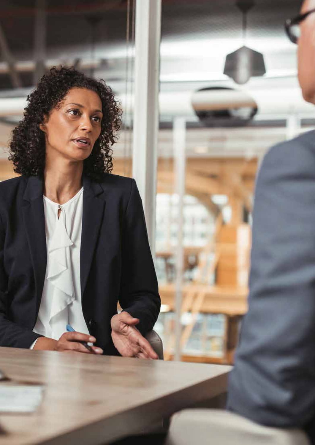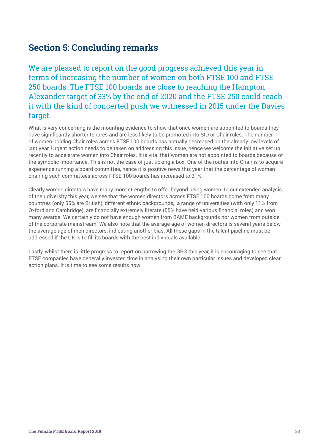# **Section 5: Concluding remarks**

We are pleased to report on the good progress achieved this year in terms of increasing the number of women on both FTSE 100 and FTSE 250 boards. The FTSE 100 boards are close to reaching the Hampton Alexander target of 33% by the end of 2020 and the FTSE 250 could reach it with the kind of concerted push we witnessed in 2015 under the Davies target.

What is very concerning is the mounting evidence to show that once women are appointed to boards they have significantly shorter tenures and are less likely to be promoted into SID or Chair roles. The number of women holding Chair roles across FTSE 100 boards has actually decreased on the already low levels of last year. Urgent action needs to be taken on addressing this issue, hence we welcome the initiative set up recently to accelerate women into Chair roles. It is vital that women are not appointed to boards because of the symbolic importance. This is not the case of just ticking a box. One of the routes into Chair is to acquire experience running a board committee, hence it is positive news this year that the percentage of women chairing such committees across FTSE 100 boards has increased to 31%.

Clearly women directors have many more strengths to offer beyond being women. In our extended analysis of their diversity this year, we see that the women directors across FTSE 100 boards come from many countries (only 55% are British), different ethnic backgrounds, a range of universities (with only 11% from Oxford and Cambridge), are financially extremely literate (55% have held various financial roles) and won many awards. We certainly do not have enough women from BAME backgrounds nor women from outside of the corporate mainstream. We also note that the average age of women directors is several years below the average age of men directors, indicating another bias. All these gaps in the talent pipeline must be addressed if the UK is to fill its boards with the best individuals available.

Lastly, whilst there is little progress to report on narrowing the GPG this year, it is encouraging to see that FTSE companies have generally invested time in analysing their own particular issues and developed clear action plans. It is time to see some results now!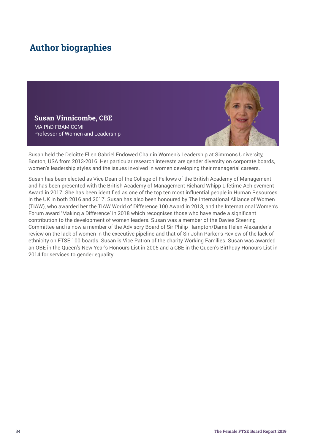# **Author biographies**





Susan held the Deloitte Ellen Gabriel Endowed Chair in Women's Leadership at Simmons University, Boston, USA from 2013-2016. Her particular research interests are gender diversity on corporate boards, women's leadership styles and the issues involved in women developing their managerial careers.

Susan has been elected as Vice Dean of the College of Fellows of the British Academy of Management and has been presented with the British Academy of Management Richard Whipp Lifetime Achievement Award in 2017. She has been identified as one of the top ten most influential people in Human Resources in the UK in both 2016 and 2017. Susan has also been honoured by The International Alliance of Women (TIAW), who awarded her the TIAW World of Difference 100 Award in 2013, and the International Women's Forum award 'Making a Difference' in 2018 which recognises those who have made a significant contribution to the development of women leaders. Susan was a member of the Davies Steering Committee and is now a member of the Advisory Board of Sir Philip Hampton/Dame Helen Alexander's review on the lack of women in the executive pipeline and that of Sir John Parker's Review of the lack of ethnicity on FTSE 100 boards. Susan is Vice Patron of the charity Working Families. Susan was awarded an OBE in the Queen's New Year's Honours List in 2005 and a CBE in the Queen's Birthday Honours List in 2014 for services to gender equality.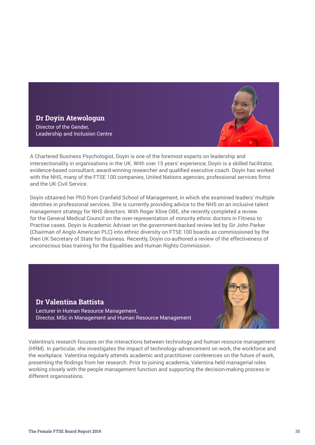

**Dr Doyin Atewologun** Director of the Gender, Leadership and Inclusion Centre

A Chartered Business Psychologist, Doyin is one of the foremost experts on leadership and intersectionality in organisations in the UK. With over 15 years' experience, Doyin is a skilled facilitator, evidence-based consultant, award-winning researcher and qualified executive coach. Doyin has worked with the NHS, many of the FTSE 100 companies, United Nations agencies, professional services firms and the UK Civil Service.

Doyin obtained her PhD from Cranfield School of Management, in which she examined leaders' multiple identities in professional services. She is currently providing advice to the NHS on an inclusive talent management strategy for NHS directors. With Roger Kline OBE, she recently completed a review for the General Medical Council on the over-representation of minority ethnic doctors in Fitness to Practise cases. Doyin is Academic Adviser on the government-backed review led by Sir John Parker (Chairman of Anglo American PLC) into ethnic diversity on FTSE 100 boards as commissioned by the then UK Secretary of State for Business. Recently, Doyin co-authored a review of the effectiveness of unconscious bias training for the Equalities and Human Rights Commission.

### **Dr Valentina Battista**

Lecturer in Human Resource Management, Director, MSc in Management and Human Resource Management



Valentina's research focuses on the interactions between technology and human resource management (HRM). In particular, she investigates the impact of technology advancement on work, the workforce and the workplace. Valentina regularly attends academic and practitioner conferences on the future of work, presenting the findings from her research. Prior to joining academia, Valentina held managerial roles working closely with the people management function and supporting the decision-making process in different organisations.